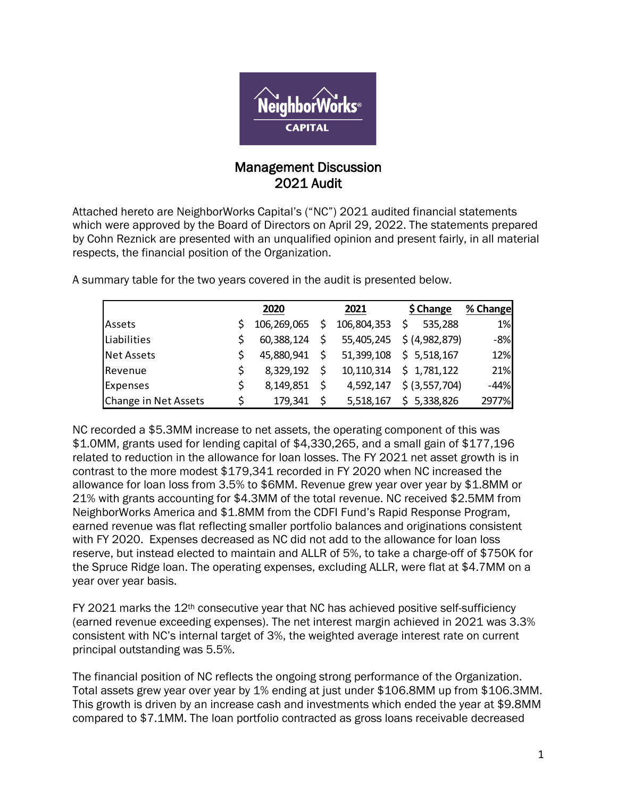

## Management Discussion 2021 Audit

Attached hereto are NeighborWorks Capital's ("NC") 2021 audited financial statements which were approved by the Board of Directors on April 29, 2022. The statements prepared by Cohn Reznick are presented with an unqualified opinion and present fairly, in all material respects, the financial position of the Organization.

|                      | 2020        |     | 2021        | \$ Change       | % Change |
|----------------------|-------------|-----|-------------|-----------------|----------|
|                      |             |     |             |                 |          |
| Assets               | 106,269,065 | \$  | 106,804,353 | 535,288         | 1%       |
| Liabilities          | 60,388,124  | \$  | 55,405,245  | \$ (4,982,879)  | $-8%$    |
| <b>Net Assets</b>    | 45,880,941  | \$. | 51,399,108  | \$5,518,167     | 12%      |
| Revenue              | 8,329,192   | \$  | 10,110,314  | \$1,781,122     | 21%      |
| <b>Expenses</b>      | 8,149,851   | \$  | 4,592,147   | $$$ (3,557,704) | $-44%$   |
| Change in Net Assets | 179,341     | \$  | 5,518,167   | \$5,338,826     | 2977%    |

A summary table for the two years covered in the audit is presented below.

NC recorded a \$5.3MM increase to net assets, the operating component of this was \$1.0MM, grants used for lending capital of \$4,330,265, and a small gain of \$177,196 related to reduction in the allowance for loan losses. The FY 2021 net asset growth is in contrast to the more modest \$179,341 recorded in FY 2020 when NC increased the allowance for loan loss from 3.5% to \$6MM. Revenue grew year over year by \$1.8MM or 21% with grants accounting for \$4.3MM of the total revenue. NC received \$2.5MM from NeighborWorks America and \$1.8MM from the CDFI Fund's Rapid Response Program, earned revenue was flat reflecting smaller portfolio balances and originations consistent with FY 2020. Expenses decreased as NC did not add to the allowance for loan loss reserve, but instead elected to maintain and ALLR of 5%, to take a charge-off of \$750K for the Spruce Ridge loan. The operating expenses, excluding ALLR, were flat at \$4.7MM on a year over year basis.

FY 2021 marks the 12th consecutive year that NC has achieved positive self-sufficiency (earned revenue exceeding expenses). The net interest margin achieved in 2021 was 3.3% consistent with NC's internal target of 3%, the weighted average interest rate on current principal outstanding was 5.5%.

The financial position of NC reflects the ongoing strong performance of the Organization. Total assets grew year over year by 1% ending at just under \$106.8MM up from \$106.3MM. This growth is driven by an increase cash and investments which ended the year at \$9.8MM compared to \$7.1MM. The loan portfolio contracted as gross loans receivable decreased